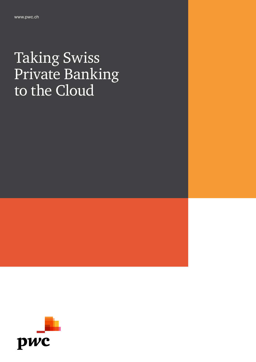# Taking Swiss Private Banking to the Cloud

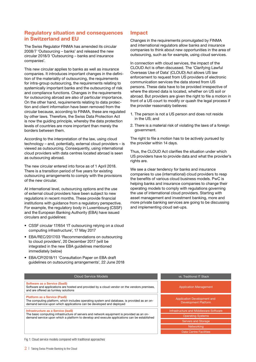# Regulatory situation and consequences in Switzerland and EU

The Swiss Regulator FINMA has amended its circular 2008/7 'Outsourcing – banks' and released the new circular 2018/3 'Outsourcing – banks and insurance companies'.

This new circular applies to banks as well as insurance companies. It introduces important changes in the definition of the materiality of outsourcing, the requirements for intra-group outsourcing, the requirements relating to systemically important banks and the outsourcing of risk and compliance functions. Changes in the requirements for outsourcing abroad are also of particular importance. On the other hand, requirements relating to data protection and client information have been removed from the circular because, according to FINMA, these are regulated by other laws. Therefore, the Swiss Data Protection Act is now the guiding principle, whereby the data protection levels of countries are more important than merely the borders between them.

According to the interpretation of the law, using cloud technology – and, potentially, external cloud providers – is viewed as outsourcing. Consequently, using international cloud providers with data centres located abroad is seen as outsourcing abroad.

The new circular entered into force as of 1 April 2018. There is a transition period of five years for existing outsourcing arrangements to comply with the provisions of the new circular.

At international level, outsourcing options and the use of external cloud providers have been subject to new regulations in recent months. These provide financial institutions with guidance from a regulatory perspective. For example, the regulatory body in Luxembourg (CSSF) and the European Banking Authority (EBA) have issued circulars and guidelines:

- CSSF circular 17/654 'IT outsourcing relying on a cloud computing infrastructure', 17 May 2017
- EBA/REC/2017/03 'Recommendations on outsourcing to cloud providers', 20 December 2017 (will be integrated in the new EBA guidelines mentioned immediately below)
- EBA/CP/2018/11 'Consultation Paper on EBA draft guidelines on outsourcing arrangements', 22 June 2018

# Impact

Changes in the requirements promulgated by FINMA and international regulators allow banks and insurance companies to think about new opportunities in the area of outsourcing, such as for example, using cloud services.

In connection with cloud services, the impact of the CLOUD Act is often discussed. The 'Clarifying Lawful Overseas Use of Data' (CLOUD) Act allows US law enforcement to request from US providers of electronic communication services the data stored from US persons. These data have to be provided irrespective of where the stored data is located, whether on US soil or abroad. But providers are given the right to file a motion in front of a US court to modify or quash the legal process if the provider reasonably believes:

- 1. The person is not a US person and does not reside in the US; and
- 2. There is a material risk of violating the laws of a foreign government.

The right to file a motion has to be actively pursued by the provider within 14 days.

Thus, the CLOUD Act clarifies the situation under which US providers have to provide data and what the provider's rights are.

We see a clear tendency for banks and insurance companies to use (international) cloud providers to reap the benefits of various cloud business models. PwC is helping banks and insurance companies to change their operating models to comply with regulations governing the use of international cloud providers. Starting with asset management and investment banking, more and more private banking services are going to be discussing and implementing cloud set-ups.

| <b>Cloud Service Models</b>                                                                                                                                                                                                    | vs. Traditional IT Stack                                          |
|--------------------------------------------------------------------------------------------------------------------------------------------------------------------------------------------------------------------------------|-------------------------------------------------------------------|
| <b>Software as a Service (SaaS)</b><br>Software and applications are hosted and provided by a cloud vendor on the vendors premises,<br>and are offered as turnkey solutions                                                    | <b>Application Management</b>                                     |
| <b>Platform as a Service (PaaS)</b><br>The computing platform, which includes operating system and database, is provided as an on-<br>demand service upon which applications can be developed and deployed                     | <b>Application Development and</b><br><b>Development Platform</b> |
| Infrastructure as a Service (laaS)<br>The basic computing infrastructure of servers and network equipment is provided as an on-<br>demand service upon which a platform to develop and execute applications can be established | Infrastructure and Middleware Software                            |
|                                                                                                                                                                                                                                | <b>Operating Systems</b>                                          |
|                                                                                                                                                                                                                                | <b>Servers and Storage</b>                                        |
|                                                                                                                                                                                                                                | Networking                                                        |
|                                                                                                                                                                                                                                | Data Centre Facilities                                            |

Fig 1: Cloud service models compared with traditional approaches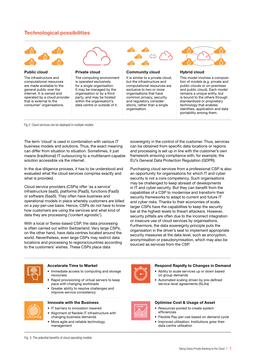# Technological possibilities



#### Public cloud

The infrastructure and computational resources are made available to the general public over the internet. It is owned and operated by a cloud provider that is external to the consumer' organisations.



#### Private cloud

The computing environment is operated exclusively for a single organisation. It may be managed by the organisation or by a third party, and may be hosted within the organisation's data centre or outside of it.



#### Community cloud

It is similar to a private cloud, but the infrastructure and computational resources are exclusive to two or more organisations that have common privacy, security, and regulatory considerations, rather than a single organisation.



#### Hybrid cloud

This model involves a composition of models (e.g. private and public clouds or on-premises and public cloud). Each model remains a unique entity, but is bound to the others through standardized or proprietary technology that enables identities, application and data portability among them.

Fig 2: Cloud services can be deployed in multiple models

The term 'cloud' is used in combination with various IT business models and solutions. Thus, the exact meaning can differ from situation to situation. Sometimes, it just means (traditional) IT outsourcing to a multitenant-capable solution accessible via the internet.

In the due diligence process, it has to be understood and evaluated what the cloud services comprise exactly and what is provided.

Cloud service providers (CSPs) offer 'as a service' infrastructure (IaaS), platforms (PaaS), functions (FaaS) or software (SaaS). They often have business and operational models in place whereby customers are billed on a pay-per-use basis. Hence, CSPs do not have to know how customers are using the services and what kind of data they are processing ('content agnostic').

With a local or Swiss-based CSP, the data processing is often carried out within Switzerland. Very large CSPs, on the other hand, have data centres located around the world. Nevertheless, even large CSPs may restrict data locations and processing to regions/countries according to the customers' wishes. These CSPs place data

sovereignty in the control of the customer. Thus, services can be obtained from specific data locations or regions and processing is set up in line with the customer's own framework ensuring compliance with, for example, the EU's General Data Protection Regulation (GDPR).

Purchasing cloud services from a professional CSP is also an opportunity for organisations for which IT and cyber security is not a core competency. Such organisations may be challenged to keep abreast of developments in IT and cyber security. But they can benefit from the capabilities of a CSP to modernise and transform their security frameworks to adapt to current and future IT and cyber risks. Thanks to their economies of scale, larger CSPs have the capabilities to keep the security bar at the highest levels to thwart attackers. However, security pitfalls are often due to the incorrect integration or insecure use of cloud services by organisations. Furthermore, the data sovereignty principle puts the organisation in the driver's seat to implement appropriate security measures at the data level, such as encryption, anonymisation or pseudonymisation, which may also be sourced as services from the CSP.



#### Accelerate Time to Market

- Immediate access to computing and storage
- recourses • Rapid provisioning of virtual servers to keep pace with changing workloads
- Greater ability to resolve challenges and improve service consistency



### Innovate with the Business

- IT barriers to innovation lowered
- Alignment of flexible IT infrastructure with changing business demands
- More agile and reliable technology management



#### Respond Rapidly to Changes in Demand

- Ability to scale services up or down based on group demands
- Automated scaling driven by pre-defined service-level agreements (SLAs)



#### Optimise Cost & Usage of Asset

- Resources pooled to create system efficiencies
- Flexible Pay-per-use based on demand cycle
- Improved utilisation: Institutions grew their data centre utilisation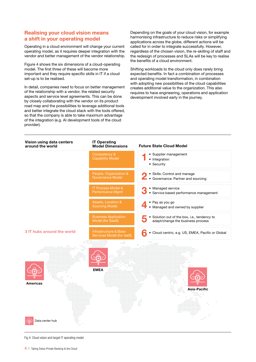# Realising your cloud vision means a shift in your operating model

Operating in a cloud environment will change your current operating model, as it requires deeper integration with the vendor and better management of the vendor relationship.

Figure 4 shows the six dimensions of a cloud-operating model. The first three of these will become more important and they require specific skills in IT if a cloud set-up is to be realised.

In detail, companies need to focus on better management of the relationship with a vendor, the related security aspects and service level agreements. This can be done by closely collaborating with the vendor on its product road map and the possibilities to leverage additional tools and better integrate the cloud stack with the tools offered, so that the company is able to take maximum advantage of the integration (e.g. AI development tools of the cloud provider).

Depending on the goals of your cloud vision, for example harmonising infrastructure to reduce risks or simplifying applications across the globe, different actions will be called for in order to integrate successfully. However, regardless of the chosen vision, the re-skilling of staff and the redesign of processes and SLAs will be key to realise the benefits of a cloud environment.

Shifting workloads to the cloud only does rarely bring expected benefits. In fact a combination of processes and operating model transformation, in combination with adopting new possibilities of the cloud capabilities creates additional value to the organization. This also requires to have engineering, operations and application development involved early in the journey.



Fig 4: Cloud vision and target IT operating model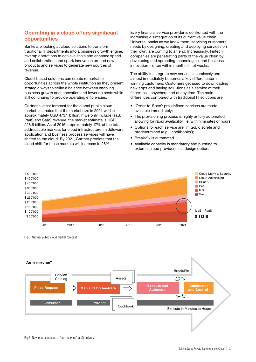# Operating in a cloud offers significant opportunities

Banks are looking at cloud solutions to transform traditional IT departments into a business growth engine, revamp operations to achieve scale and enhance speed and collaboration, and spark innovation around new products and services to generate new sources of revenue.

Cloud-based solutions can create remarkable opportunities across the whole institution as they present strategic ways to strike a balance between enabling business growth and innovation and lowering costs while still continuing to provide operating efficiencies.

Gartner's latest forecast for the global public cloud market estimates that the market size in 2021 will be approximately USD 473.1 billion. If we only include IaaS, PaaS and SaaS revenue, the market estimate is USD 228.6 billion. As of 2016, approximately 17% of the total addressable markets for cloud infrastructure, middleware, application and business process services will have shifted to the cloud. By 2021, Gartner predicts that the cloud shift for these markets will increase to 28%.

Every financial service provider is confronted with the increasing disintegration of its current value chain. Universal banks as we know them, servicing customers' needs by designing, creating and deploying services on their own, are coming to an end. Increasingly, Fintech companies are penetrating parts of the value chain by developing and spreading technological and business innovation – often within months if not weeks.

The ability to integrate new services seamlessly and almost immediately becomes a key differentiator in winning customers. Customers get used to downloading new apps and having solu-tions as a service at their fingertips – anywhere and at any time. The main differences compared with traditional IT solutions are:

- 'Order-to-Spec': pre-defined services are made available immediately;
- The provisioning process is highly or fully automated, allowing for rapid availability, i.e. within minutes or hours;
- Options for each service are limited, discrete and predetermined (e.g., 'cookbooks');
- Break/fix is automated.
- Available capacity is mandatory and bursting to external cloud providers is a design option.



Fig 5: Gartner public cloud market forecast



Fig 6: New characteristics of 'as-a-service' (aaS) delivery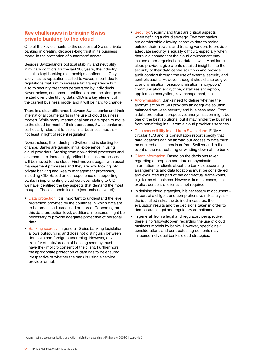# Key challenges in bringing Swiss private banking to the cloud

One of the key elements to the success of Swiss private banking in creating decades-long trust in its business model is the protection of customers' assets.

Besides Switzerland's political stability and neutrality in military conflicts for the last 100 years, the industry has also kept banking relationships confidential. Only lately has its reputation started to waver, in part due to regulations that aim to increase tax transparency but also to security breaches perpetrated by individuals. Nevertheless, customer identification and the storage of related client identifying data (CID) is a key element of the current business model and it will be hard to change.

There is a clear difference between Swiss banks and their international counterparts in the use of cloud business models. While many international banks are open to move to the cloud for most of their operations, Swiss banks are particularly reluctant to use similar business models – not least in light of recent regulation.

Nevertheless, the industry in Switzerland is starting to change. Banks are gaining initial experience in using cloud providers. Starting from non-critical processes and environments, increasingly critical business processes will be moved to the cloud. First-movers began with asset management processes and they are now looking into private banking and wealth management processes, including CID. Based on our experience of supporting banks in implementing cloud services relating to CID, we have identified the key aspects that demand the most thought. These aspects include (non-exhaustive list):

- Data protection: It is important to understand the level protection provided by the countries in which data are to be processed, accessed or stored. Depending on this data protection level, additional measures might be necessary to provide adequate protection of personal data.
- Banking secrecy: In general, Swiss banking legislation allows outsourcing and does not distinguish between domestic and foreign outsourcing. However, any transfer of data/breach of banking secrecy must have the (implicit) consent of the client. Furthermore, the appropriate protection of data has to be ensured irrespective of whether the bank is using a service provider or not.
- Security: Security and trust are critical aspects when defining a cloud strategy. Few companies are comfortable allowing sensitive data to reside outside their firewalls and trusting vendors to provide adequate security is equally difficult, especially when there is a chance that the cloud environment may include other organisations' data as well. Most large cloud providers give clients detailed insights into the security of their data centre solutions and provide audit comfort through the use of external security and controls audits. However, thought should also be given to anonymisation, pseudonymisation, encryption,\* communication encryption, database encryption, application encryption, key management, etc.
- Anonymisation: Banks need to define whether the anonymisation of CID provides an adequate solution balanced between security and business need. From a data protection perspective, anonymisation might be one of the best solutions, but it may hinder the business from benefitting in full from a cloud provider's services.
- Data accessibility in and from Switzerland: FINMA circular 18/3 and its consultation report specify that data locations can be abroad but access to data must be ensured at all times in or from Switzerland in the event of the restructuring or winding down of the bank.
- Client information: Based on the decisions taken regarding encryption and data anonymisation, information for clients about the bank's outsourcing arrangements and data locations must be considered and evaluated as part of the contractual frameworks, e.g. terms of business. However, in most cases, the explicit consent of clients is not required.
- In defining cloud strategies, it is necessary to document as part of a diligent and comprehensive risk analysis – the identified risks, the defined measures, the evaluation results and the decisions taken in order to demonstrate legal and regulatory compliance.
- In general, from a legal and regulatory perspective, there is no 'showstopper' regarding the use of cloud business models by banks. However, specific risk considerations and contractual agreements may influence individual bank's cloud strategies.

\* Anonymisation, pseudonymisation, encryption – definitions according to FINMA circ. 2008/21, Appendix 3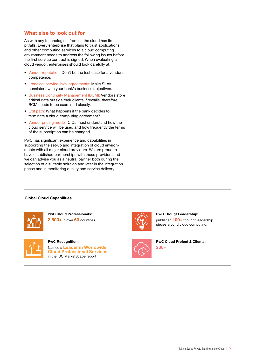# What else to look out for

As with any technological frontier, the cloud has its pitfalls. Every enterprise that plans to trust applications and other computing services to a cloud computing environment needs to address the following issues before the first service contract is signed. When evaluating a cloud vendor, enterprises should look carefully at:

- Vendor reputation: Don't be the test case for a vendor's competence.
- 'Ironclad' service-level agreements: Make SLAs consistent with your bank's business objectives.
- Business Continuity Management (BCM): Vendors store critical data outside their clients' firewalls, therefore BCM needs to be examined closely.
- Exit path: What happens if the bank decides to terminate a cloud computing agreement?
- Vendor pricing model: CIOs must understand how the cloud service will be used and how frequently the terms of the subscription can be changed.

PwC has significant experience and capabilities in supporting the set-up and integration of cloud environments with all major cloud providers. We are proud to have established partnerships with these providers and we can advise you as a neutral partner both during the selection of a suitable solution and later in the integration phase and in monitoring quality and service delivery.

#### Global Cloud Capabilities



PwC Cloud Professionals: 2,500+ in over 60 countries.



PwC Recognition:

Named a Leader in Worldwide Cloud Professional Services in the IDC MarketScape report







230+

PwC Cloud Project & Clients: